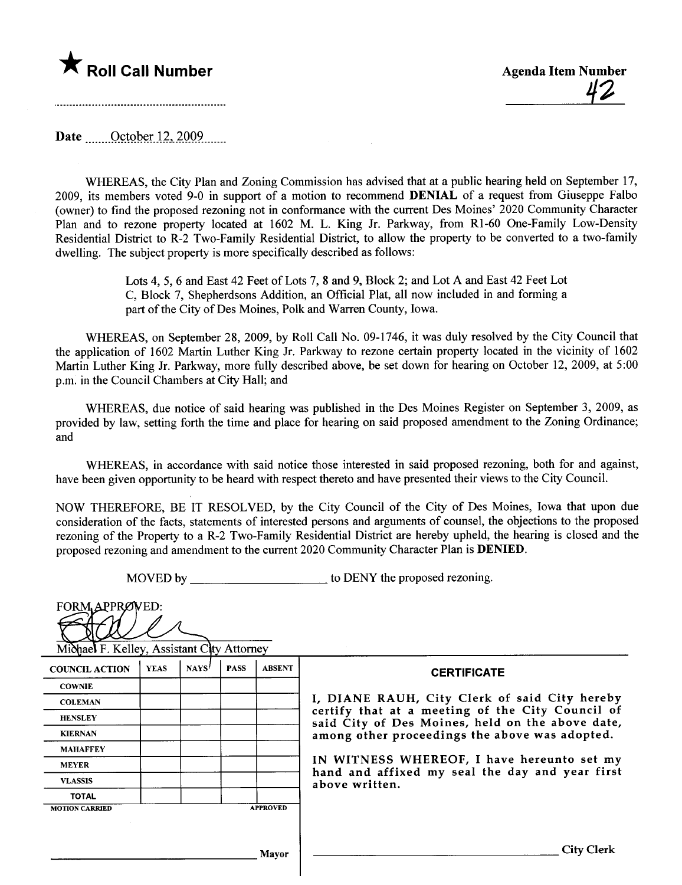# \* Roll Call Number Agenda Item Number

Date ........October 12, 2009.......

WHREAS, the City Plan and Zoning Commission has advised that at a public hearing held on September 17, 2009, its members voted 9-0 in support of a motion to recommend DENIAL of a request from Giuseppe Falbo (owner) to find the proposed rezoning not in conformance with the current Des Moines' 2020 Community Character Plan and to rezone property located at 1602 M. L. King Jr. Parkway, from R1-60 One-Family Low-Density Residential District to R-2 Two-Family Residential District, to allow the property to be converted to a two-family dwelling. The subject property is more specifically described as follows:

> Lots 4, 5, 6 and East 42 Feet of Lots 7, 8 and 9, Block 2; and Lot A and East 42 Feet Lot C, Block 7, Shepherdsons Addition, an Official Plat, all now included in and forming a part of the City of Des Moines, Polk and Warren County, Iowa.

WHREAS, on September 28, 2009, by Roll Call No. 09-1746, it was duly resolved by the City Council that the application of 1602 Martin Luther King Jr. Parkway to rezone certain property located in the vicinity of 1602 Martin Luther King Jr. Parkway, more fully described above, be set down for hearing on October 12, 2009, at 5:00 p.m. in the Council Chambers at City Hall; and

WHREAS, due notice of said hearing was published in the Des Moines Register on September 3, 2009, as provided by law, setting forth the time and place for hearing on said proposed amendment to the Zoning Ordinance; and

WHREAS, in accordance with said notice those interested in said proposed rezoning, both for and against, have been given opportunity to be heard with respect thereto and have presented their views to the City Council.

NOW THEREFORE, BE IT RESOLVED, by the City Council of the City of Des Moines, Iowa that upon due consideration of the facts, statements of interested persons and arguments of counsel, the objections to the proposed rezoning of the Property to a R-2 Two-Family Residential District are hereby upheld, the hearing is closed and the proposed rezoning and amendment to the current 2020 Community Character Plan is DENIED.

MOVED by to DENY the proposed rezoning.

| FORM APPROVED:<br>Michael F. Kelley, Assistant City Attorney |             |       |             |                 |                                                                                                      |
|--------------------------------------------------------------|-------------|-------|-------------|-----------------|------------------------------------------------------------------------------------------------------|
| <b>COUNCIL ACTION</b>                                        | <b>YEAS</b> | NAYS' | <b>PASS</b> | <b>ABSENT</b>   | <b>CERTIFICATE</b>                                                                                   |
| <b>COWNIE</b>                                                |             |       |             |                 |                                                                                                      |
| <b>COLEMAN</b>                                               |             |       |             |                 | I, DIANE RAUH, City Clerk of said City hereby                                                        |
| <b>HENSLEY</b>                                               |             |       |             |                 | certify that at a meeting of the City Council of<br>said City of Des Moines, held on the above date, |
| <b>KIERNAN</b>                                               |             |       |             |                 | among other proceedings the above was adopted.                                                       |
| <b>MAHAFFEY</b>                                              |             |       |             |                 |                                                                                                      |
| <b>MEYER</b>                                                 |             |       |             |                 | IN WITNESS WHEREOF, I have hereunto set my                                                           |
| <b>VLASSIS</b>                                               |             |       |             |                 | hand and affixed my seal the day and year first<br>above written.                                    |
| <b>TOTAL</b>                                                 |             |       |             |                 |                                                                                                      |
| <b>MOTION CARRIED</b>                                        |             |       |             | <b>APPROVED</b> |                                                                                                      |
|                                                              |             |       |             |                 |                                                                                                      |
|                                                              |             |       |             | Mayor           | <b>City Clerk</b>                                                                                    |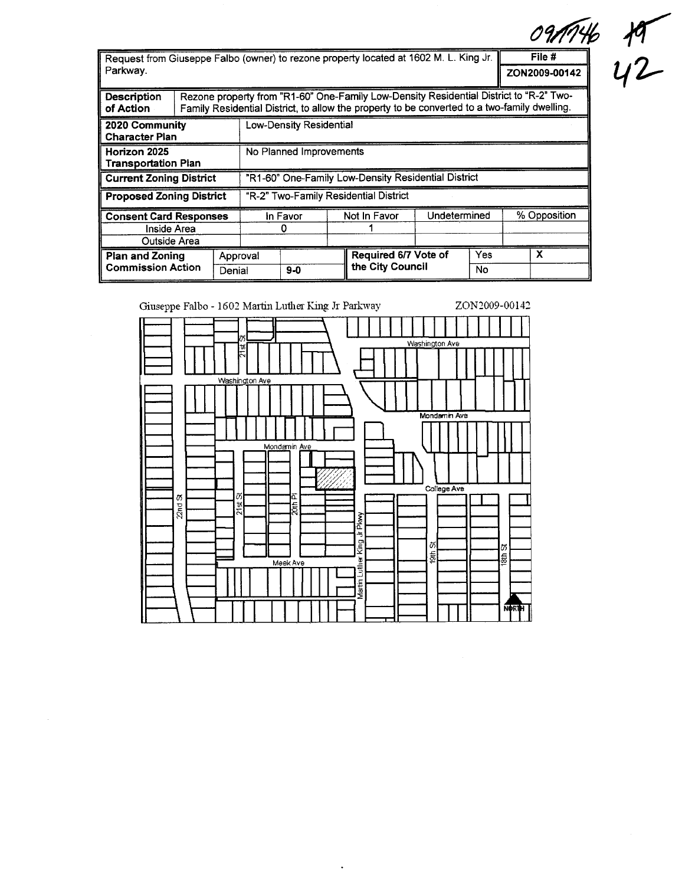Request from Giuseppe Falbo (owner) to rezone property located at 1602 M. L. King Jr. Parkway. ZON2009-00142

| 1146 | Ю |
|------|---|
| D142 | L |

 $File#$ 

| Description<br>of Action                                           |                                                     |          | Rezone property from "R1-60" One-Family Low-Density Residential District to "R-2" Two-<br>Family Residential District, to allow the property to be converted to a two-family dwelling. |       |  |                      |              |     |              |
|--------------------------------------------------------------------|-----------------------------------------------------|----------|----------------------------------------------------------------------------------------------------------------------------------------------------------------------------------------|-------|--|----------------------|--------------|-----|--------------|
| Low-Density Residential<br>2020 Community<br><b>Character Plan</b> |                                                     |          |                                                                                                                                                                                        |       |  |                      |              |     |              |
| Horizon 2025<br><b>Transportation Plan</b>                         | No Planned Improvements                             |          |                                                                                                                                                                                        |       |  |                      |              |     |              |
| <b>Current Zoning District</b>                                     | "R1-60" One-Family Low-Density Residential District |          |                                                                                                                                                                                        |       |  |                      |              |     |              |
| <b>Proposed Zoning District</b>                                    |                                                     |          | "R-2" Two-Family Residential District                                                                                                                                                  |       |  |                      |              |     |              |
| <b>Consent Card Responses</b>                                      |                                                     |          | In Favor                                                                                                                                                                               |       |  | Not In Favor         | Undetermined |     | % Opposition |
| Inside Area                                                        |                                                     |          |                                                                                                                                                                                        |       |  |                      |              |     |              |
| Outside Area                                                       |                                                     |          |                                                                                                                                                                                        |       |  |                      |              |     |              |
| <b>Plan and Zoning</b><br><b>Commission Action</b>                 |                                                     | Approval |                                                                                                                                                                                        |       |  | Required 6/7 Vote of |              | Yes | x            |
|                                                                    |                                                     | Denial   |                                                                                                                                                                                        | $9-0$ |  | the City Council     |              | No  |              |



 $\ddot{\phantom{a}}$ 

 $\bar{z}$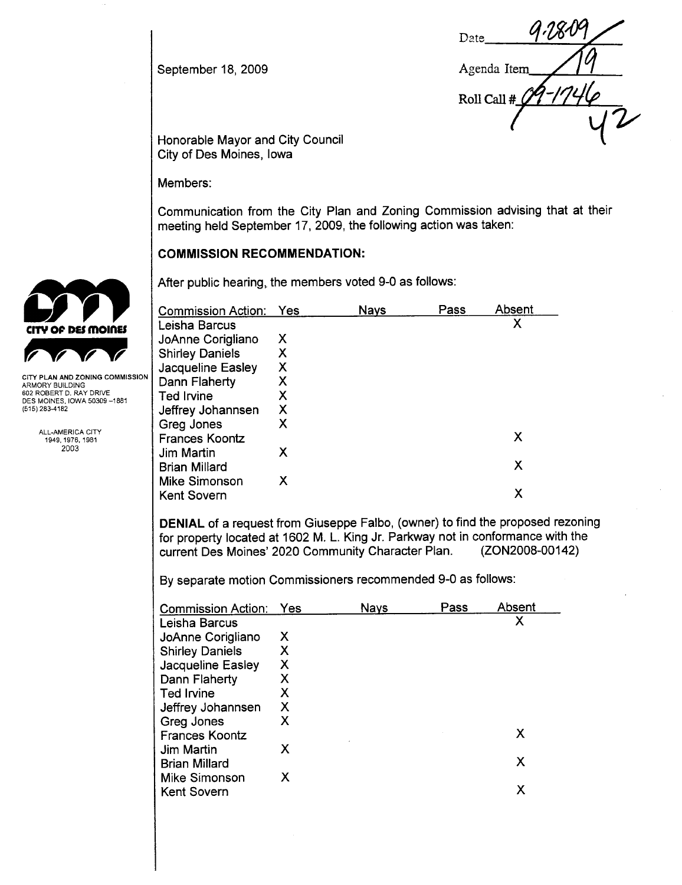September 18, 2009

Date Agenda Item Roll Call #

Honorable Mayor and City Council City of Des Moines, Iowa

Members:

Communication from the City Plan and Zoning Commission advising that at their meeting held September 17,2009, the following action was taken:

# COMMISSION RECOMMENDATION:

|                                                                             | After public hearing, the members voted 9-0 as follows: |     |             |      |        |  |
|-----------------------------------------------------------------------------|---------------------------------------------------------|-----|-------------|------|--------|--|
|                                                                             | <b>Commission Action:</b>                               | Yes | <b>Nays</b> | Pass | Absent |  |
| CITY OF DES MOINES                                                          | Leisha Barcus                                           |     |             |      | Х      |  |
|                                                                             | JoAnne Corigliano                                       | Х   |             |      |        |  |
|                                                                             | <b>Shirley Daniels</b>                                  | Χ   |             |      |        |  |
|                                                                             | Jacqueline Easley                                       | Χ   |             |      |        |  |
| CITY PLAN AND ZONING COMMISSION<br>ARMORY BUILDING                          | Dann Flaherty                                           | Χ   |             |      |        |  |
| 602 ROBERT D. RAY DRIVE<br>DES MOINES, IOWA 50309 -- 1881<br>(515) 283-4182 | Ted Irvine                                              | Χ   |             |      |        |  |
|                                                                             | Jeffrey Johannsen                                       | Χ   |             |      |        |  |
|                                                                             | Greg Jones                                              | X   |             |      |        |  |
| ALL-AMERICA CITY<br>1949, 1976, 1981                                        | <b>Frances Koontz</b>                                   |     |             |      | X      |  |
| 2003                                                                        | Jim Martin                                              | Χ   |             |      |        |  |
|                                                                             | <b>Brian Millard</b>                                    |     |             |      | X      |  |
|                                                                             | <b>Mike Simonson</b>                                    | Χ   |             |      |        |  |
|                                                                             | <b>Kent Sovern</b>                                      |     |             |      | х      |  |

DENIAL of a request from Giuseppe Falbo, (owner) to find the proposed rezoning for property located at 1602 M. L. King Jr. Parkway not in conformance with the current Des Moines' 2020 Community Character Plan.

By separate motion Commissioners recommended 9-0 as follows:

| <b>Commission Action:</b> | Yes | <b>Nays</b> | Pass | Absent |
|---------------------------|-----|-------------|------|--------|
| Leisha Barcus             |     |             |      | χ      |
| JoAnne Corigliano         | Х   |             |      |        |
| <b>Shirley Daniels</b>    | Х   |             |      |        |
| Jacqueline Easley         | Х   |             |      |        |
| Dann Flaherty             | х   |             |      |        |
| Ted Irvine                | X   |             |      |        |
| Jeffrey Johannsen         | х   |             |      |        |
| Greg Jones                | X   |             |      |        |
| <b>Frances Koontz</b>     |     |             |      | X      |
| <b>Jim Martin</b>         | X   |             |      |        |
| <b>Brian Millard</b>      |     |             |      | X      |
| Mike Simonson             | X   |             |      |        |
| <b>Kent Sovern</b>        |     |             |      | х      |

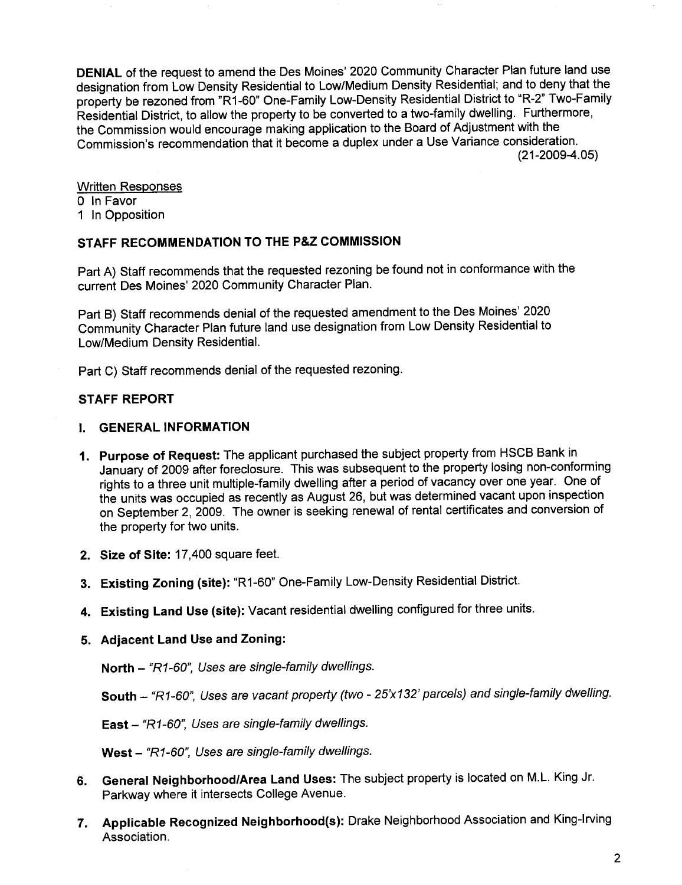DENIAL of the request to amend the Des Moines' 2020 Community Character Plan future land use designation from Low Density Residential to Low/Medium Density Residential; and to deny that the property be rezoned from "R1-60" One-Family Low-Density Residential District to "R-2" Two-Family Residential District, to allow the property to be converted to a two-family dwelling. Furthermore, the Commission would encourage making application to the Board of Adjustment with the Commission's recommendation that it become a duplex under a Use Variance consideration. (21-2009-4.05)

Written Responses o In Favor

1 In Opposition

# STAFF RECOMMENDATION TO THE P&Z COMMISSION

Part A) Staff recommends that the requested rezoning be found not in conformance with the current Des Moines' 2020 Community Character Plan.

Part B) Staff recommends denial of the requested amendment to the Des Moines' 2020 Community Character Plan future land use designation from Low Density Residential to Low/Medium Density ResidentiaL.

Part C) Staff recommends denial of the requested rezoning.

# STAFF REPORT

#### i. GENERAL INFORMATION

- 1. Purpose of Request: The applicant purchased the subject property from HSCB Bank in January of 2009 after foreclosure. This was subsequent to the property losing non-conforming rights to a three unit multiple-family dwelling after a period of vacancy over one year. One of the units was occupied as recently as August 26, but was determined vacant upon inspection on September 2,2009. The owner is seeking renewal of rental certificates and conversion of the property for two units.
- 2. Size of Site: 17,400 square feet.
- 3. Existing Zoning (site): "R1-60" One-Family Low-Density Residential District.
- 4. Existing Land Use (site): Vacant residential dwelling configured for three units.

## 5. Adjacent Land Use and Zoning:

North - "R1-60", Uses are single-family dwellings.

South - "R1-60", Uses are vacant property (two - 25'x132' parcels) and single-family dwelling.

East - "R1-60", Uses are single-family dwellings.

West - "R1-60", Uses are single-family dwellings.

- 6. General NeighborhoodlArea Land Uses: The subject property is located on M.L. King Jr. Parkway where it intersects College Avenue.
- 7. Applicable Recognized Neighborhood(s): Drake Neighborhood Association and King-Irving Association.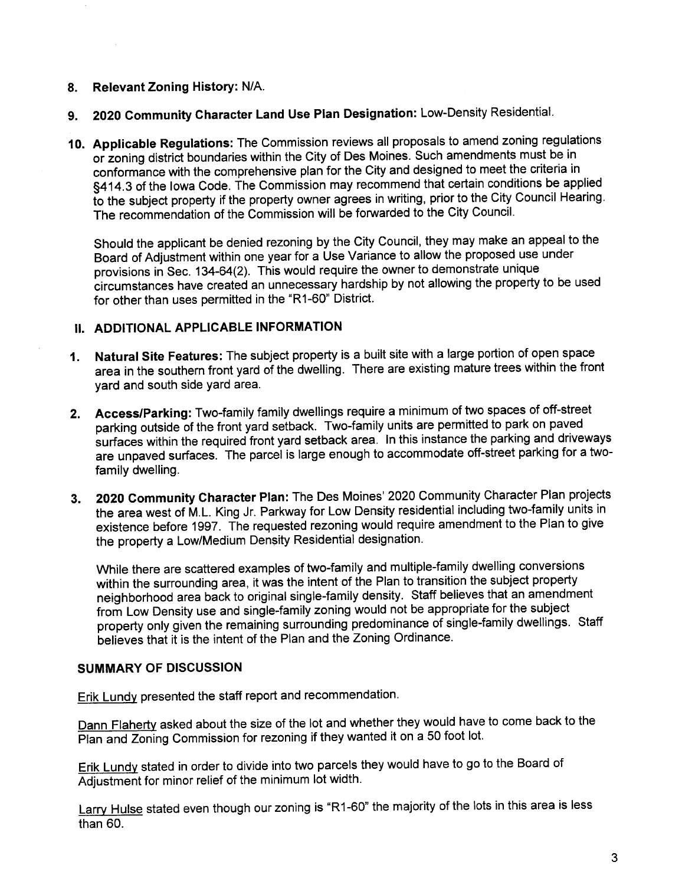# 8. Relevant Zoning History: N/A.

- 9. 2020 Community Character Land Use Plan Designation: Low-Density Residential.
- 10. Applicable Regulations: The Commission reviews all proposals to amend zoning regulations or zoning district boundaries within the City of Des Moines. Such amendments must be in conformance with the comprehensive plan for the City and designed to meet the criteria in §414.3 of the Iowa Code. The Commission may recommend that certain conditions be applied to the subject property if the property owner agrees in writing, prior to the City Council Hearing. The recommendation of the Commission will be forwarded to the City Council.

Should the applicant be denied rezoning by the City Council, they may make an appeal to the Board of Adjustment within one year for a Use Variance to allow the proposed use under provisions in Sec. 134-64(2). This would require the owner to demonstrate unique circumstances have created an unnecessary hardship by not allowing the property to be used for other than uses permitted in the "R1-60" District.

# II. ADDITIONAL APPLICABLE INFORMATION

- 1. Natural Site Features: The subject property is a built site with a large portion of open space area in the southern front yard of the dwelling. There are existing mature trees within the front yard and south side yard area.
- 2. Access/Parking: Two-family family dwellings require a minimum of two spaces of off-street parking outside of the front yard setback. Two-family units are permitted to park on paved surfaces within the required front yard setback area. In this instance the parking and driveways are unpaved surfaces. The parcel is large enough to accommodate off-street parking for a twofamily dwelling.
- 3. 2020 Community Character Plan: The Des Moines' 2020 Community Character Plan projects the area west of M.L. King Jr. Parkway for Low Density residential including two-family units in existence before 1997. The requested rezoning would require amendment to the Plan to give the property a Low/Medium Density Residential designation.

While there are scattered examples of two-family and multiple-family dwelling conversions within the surrounding area, it was the intent of the Plan to transition the subject property neighborhood area back to original single-family density. Staff believes that an amendment from Low Density use and single-family zoning would not be appropriate for the subject property only given the remaining surrounding predominance of single-family dwellings. Staff believes that it is the intent of the Plan and the Zoning Ordinance.

# SUMMARY OF DISCUSSION

Erik Lundy presented the staff report and recommendation.

Dann Flaherty asked about the size of the lot and whether they would have to come back to the Plan and Zoning Commission for rezoning if they wanted it on a 50 foot lot.

Erik Lundy stated in order to divide into two parcels they would have to go to the Board of Adjustment for minor relief of the minimum lot width.

Larry H<u>ulse</u> stated even though our zoning is "R1-60" the majority of the lots in this area is less than 60.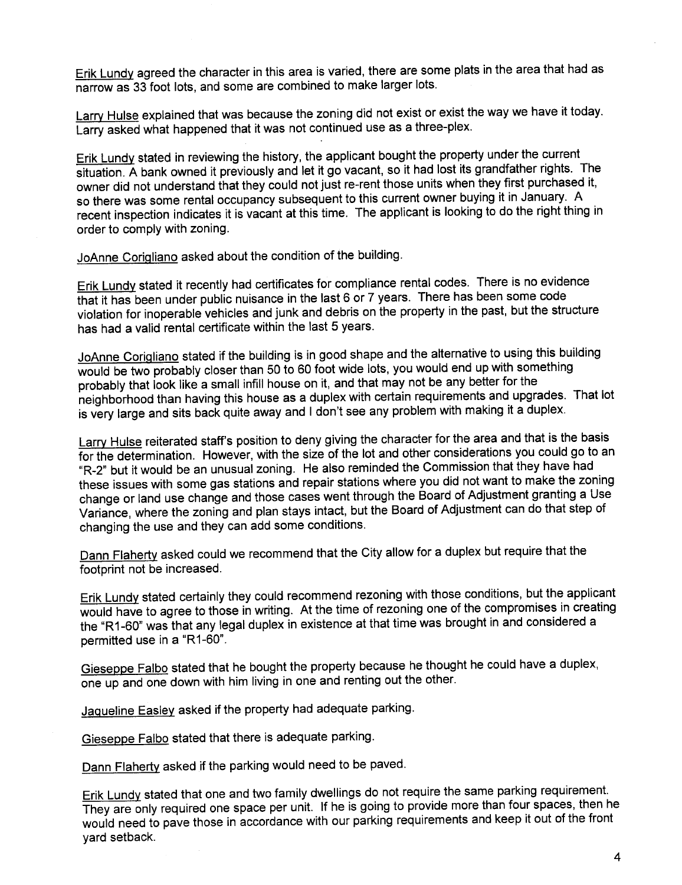Erik Lundy agreed the character in this area is varied, there are some plats in the area that had as narrow as 33 foot lots, and some are combined to make larger lots.

Larry Hulse explained that was because the zoning did not exist or exist the way we have it today. Larry asked what happened that it was not continued use as a three-plex.

Erik Lundy stated in reviewing the history, the applicant bought the property under the current situation. A bank owned it previously and let it go vacant, so it had lost its grandfather rights. The owner did not understand that they could not just re-rent those units when they first purchased it, so there was some rental occupancy subsequent to this current owner buying it in January. A recent inspection indicates it is vacant at this time. The applicant is looking to do the right thing in order to comply with zoning.

JoAnne Corigliano asked about the condition of the building.

Erik Lundy stated it recently had certificates for compliance rental codes. There is no evidence that it has been under public nuisance in the last 6 or 7 years. There has been some code violation for inoperable vehicles and junk and debris on the property in the past, but the structure has had a valid rental certificate within the last 5 years.

JoAnne Corigliano stated if the building is in good shape and the alternative to using this building would be two probably closer than 50 to 60 foot wide lots, you would end up with something probably that look like a small infill house on it, and that may not be any better for the neighborhood than having this house as a duplex with certain requirements and upgrades. That lot is very large and sits back quite away and i don't see any problem with making it a duplex.

Larry Hulse reiterated staff's position to deny giving the character for the area and that is the basis for the determination. However, with the size of the lot and other considerations you could go to an "R-2" but it would be an unusual zoning. He also reminded the Commission that they have had these issues with some gas stations and repair stations where you did not want to make the zoning change or land use change and those cases went through the Board of Adjustment granting a Use Variance, where the zoning and plan stays intact, but the Board of Adjustment can do that step of changing the use and they can add some conditions.

Dann Flaherty asked could we recommend that the City allow for a duplex but require that the footprint not be increased.

Erik Lundy stated certainly they could recommend rezoning with those conditions, but the applicant would have to agree to those in writing. At the time of rezoning one of the compromises in creating the "R1-60" was that any legal duplex in existence at that time was brought in and considered a permitted use in a "R1-60".

Gieseppe Falbo stated that he bought the property because he thought he could have a duplex, one up and one down with him living in one and renting out the other.

JaQueline Easley asked if the property had adequate parking.

Gieseppe Falbo stated that there is adequate parking.

Dann Flaherty asked if the parking would need to be paved.

Erik Lundy stated that one and two family dwellings do not require the same parking requirement. They are only required one space per unit. If he is going to provide more than four spaces, then he would need to pave those in accordance with our parking requirements and keep it out of the front yard setback.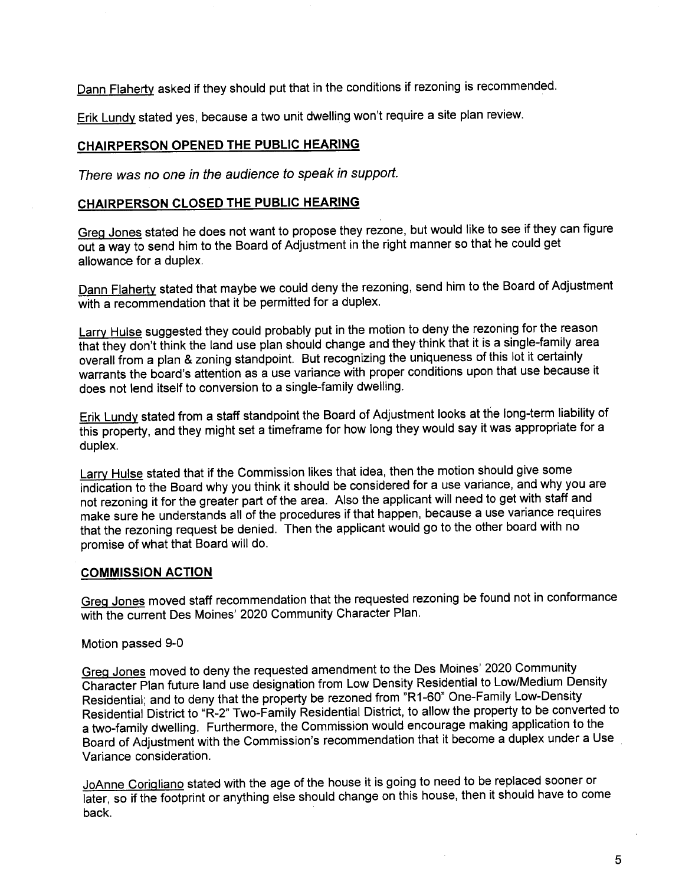Dann Flaherty asked if they should put that in the conditions if rezoning is recommended.

Erik Lundy stated yes, because a two unit dwelling won't require a site plan review.

# CHAIRPERSON OPENED THE PUBLIC HEARING

There was no one in the audience to speak in support.

# CHAIRPERSON CLOSED THE PUBLIC HEARING

Greg Jones stated he does not want to propose they rezone, but would like to see if they can figure out a way to send him to the Board of Adjustment in the right manner so that he could get allowance for a duplex.

Dann Flaherty stated that maybe we could deny the rezoning, send him to the Board of Adjustment with a recommendation that it be permitted for a duplex.

Larry Hulse suggested they could probably put in the motion to deny the rezoning for the reason that they don't think the land use plan should change and they think that it is a single-family area overall from a plan & zoning standpoint. But recognizing the uniqueness of this lot it certainly warrants the board's attention as a use variance with proper conditions upon that use because it does not lend itself to conversion to a single-family dwelling.

Erik Lundy stated from a staff standpoint the Board of Adjustment looks at the long-term liability of this property, and they might set a timeframe for how long they would say it was appropriate for a duplex.

Larry Hulse stated that if the Commission likes that idea, then the motion should give some indication to the Board why you think it should be considered for a use variance, and why you are not rezoning it for the greater part of the area. Also the applicant will need to get with staff and make sure he understands all of the procedures if that happen, because a use variance requires that the rezoning request be denied. Then the applicant would go to the other board with no promise of what that Board will do.

## COMMISSION ACTION

Greg Jones moved staff recommendation that the requested rezoning be found not in conformance with the current Des Moines' 2020 Community Character Plan.

## Motion passed 9-0

Greg Jones moved to deny the requested amendment to the Des Moines' 2020 Community Character Plan future land use designation from Low Density Residential to Low/Medium Density Residential; and to deny that the property be rezoned from "R1-60" One-Family Low-Density Residential District to "R-2" Two-Family Residential District, to allow the property to be converted to a two-family dwelling. Furthermore, the Commission would encourage making application to the Board of Adjustment with the Commission's recommendation that it become a duplex under a Use Variance consideration.

JoAnne Corigliano stated with the age of the house it is going to need to be replaced sooner or later, so if the footprint or anything else should change on this house, then it should have to come back.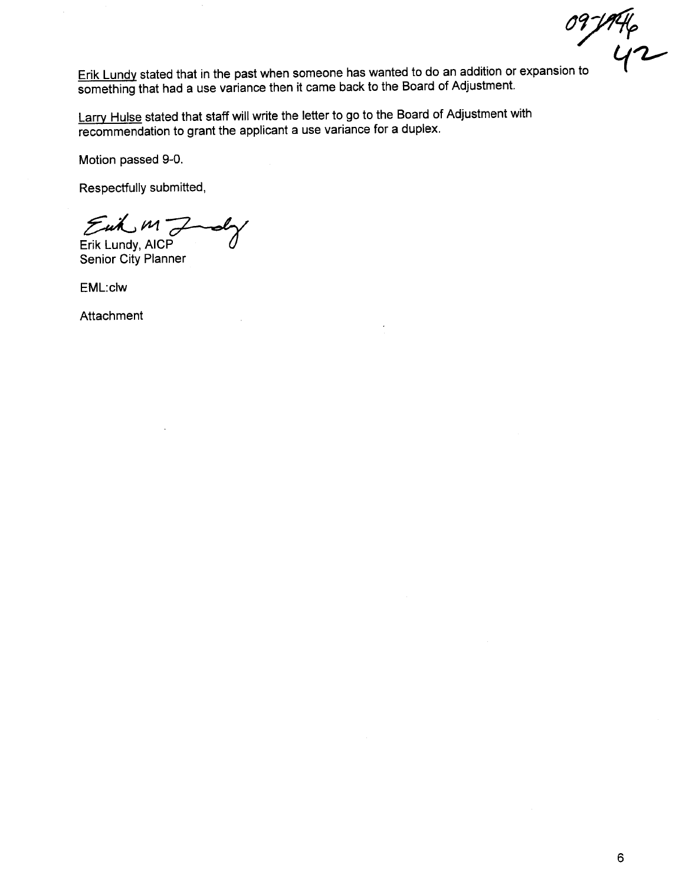09-1946<br>42

Erik Lundy stated that in the past when someone has wanted to do an addition or expansion to something that had a use variance then it came back to the Board of Adjustment.

Larry Hulse stated that staff will write the letter to go to the Board of Adjustment with recommendation to grant the applicant a use variance for a duplex.

Motion passed 9-0.

Respectfully submitted,

 $E$ uk  $M\rightarrow$ oly

Erik Lundy, AICP Senior City Planner

EML:clw

**Attachment**